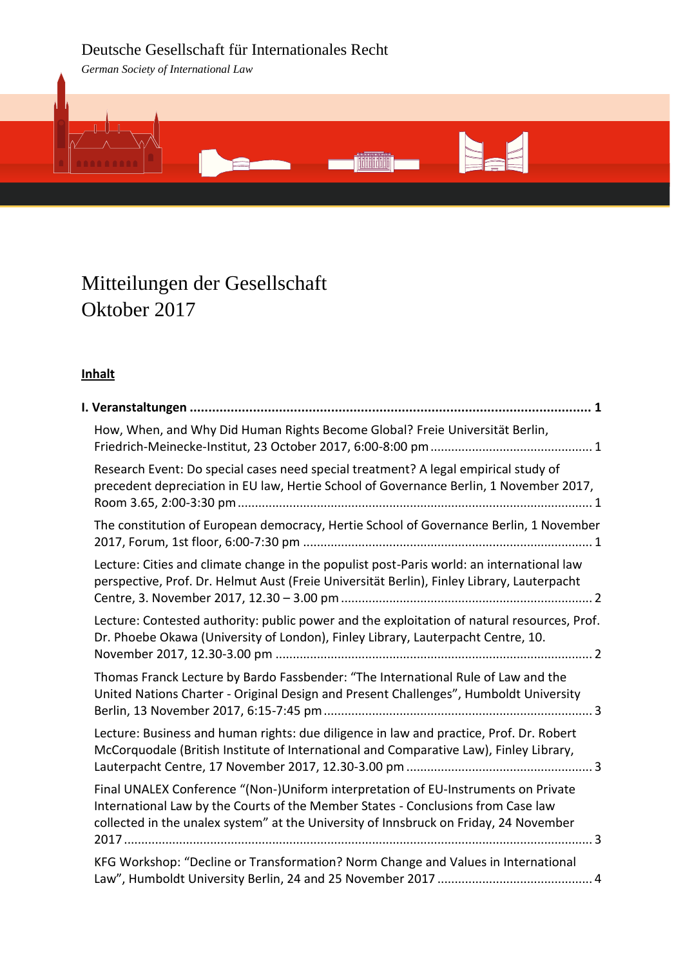# Deutsche Gesellschaft für Internationales Recht

*German Society of International Law*



# Mitteilungen der Gesellschaft Oktober 2017

# **Inhalt**

| How, When, and Why Did Human Rights Become Global? Freie Universität Berlin,                                                                                                                                                                                    |  |
|-----------------------------------------------------------------------------------------------------------------------------------------------------------------------------------------------------------------------------------------------------------------|--|
| Research Event: Do special cases need special treatment? A legal empirical study of<br>precedent depreciation in EU law, Hertie School of Governance Berlin, 1 November 2017,                                                                                   |  |
| The constitution of European democracy, Hertie School of Governance Berlin, 1 November                                                                                                                                                                          |  |
| Lecture: Cities and climate change in the populist post-Paris world: an international law<br>perspective, Prof. Dr. Helmut Aust (Freie Universität Berlin), Finley Library, Lauterpacht                                                                         |  |
| Lecture: Contested authority: public power and the exploitation of natural resources, Prof.<br>Dr. Phoebe Okawa (University of London), Finley Library, Lauterpacht Centre, 10.                                                                                 |  |
| Thomas Franck Lecture by Bardo Fassbender: "The International Rule of Law and the<br>United Nations Charter - Original Design and Present Challenges", Humboldt University                                                                                      |  |
| Lecture: Business and human rights: due diligence in law and practice, Prof. Dr. Robert<br>McCorquodale (British Institute of International and Comparative Law), Finley Library,                                                                               |  |
| Final UNALEX Conference "(Non-)Uniform interpretation of EU-Instruments on Private<br>International Law by the Courts of the Member States - Conclusions from Case law<br>collected in the unalex system" at the University of Innsbruck on Friday, 24 November |  |
| KFG Workshop: "Decline or Transformation? Norm Change and Values in International                                                                                                                                                                               |  |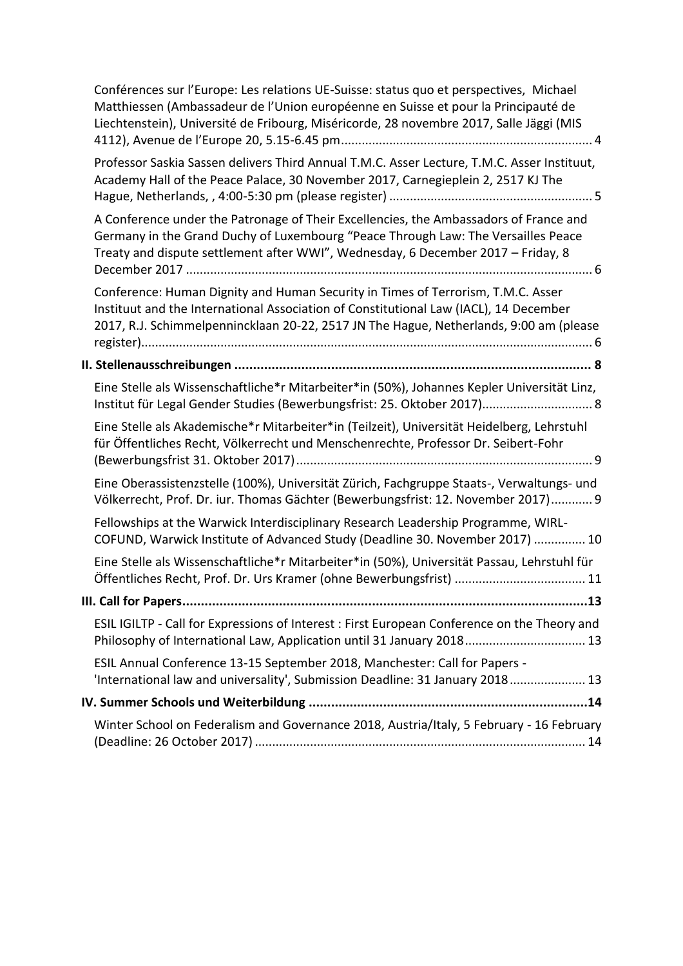|  | Conférences sur l'Europe: Les relations UE-Suisse: status quo et perspectives, Michael<br>Matthiessen (Ambassadeur de l'Union européenne en Suisse et pour la Principauté de<br>Liechtenstein), Université de Fribourg, Miséricorde, 28 novembre 2017, Salle Jäggi (MIS |  |  |
|--|-------------------------------------------------------------------------------------------------------------------------------------------------------------------------------------------------------------------------------------------------------------------------|--|--|
|  | Professor Saskia Sassen delivers Third Annual T.M.C. Asser Lecture, T.M.C. Asser Instituut,<br>Academy Hall of the Peace Palace, 30 November 2017, Carnegieplein 2, 2517 KJ The                                                                                         |  |  |
|  | A Conference under the Patronage of Their Excellencies, the Ambassadors of France and<br>Germany in the Grand Duchy of Luxembourg "Peace Through Law: The Versailles Peace<br>Treaty and dispute settlement after WWI", Wednesday, 6 December 2017 - Friday, 8          |  |  |
|  | Conference: Human Dignity and Human Security in Times of Terrorism, T.M.C. Asser<br>Instituut and the International Association of Constitutional Law (IACL), 14 December<br>2017, R.J. Schimmelpennincklaan 20-22, 2517 JN The Hague, Netherlands, 9:00 am (please     |  |  |
|  |                                                                                                                                                                                                                                                                         |  |  |
|  | Eine Stelle als Wissenschaftliche*r Mitarbeiter*in (50%), Johannes Kepler Universität Linz,<br>Institut für Legal Gender Studies (Bewerbungsfrist: 25. Oktober 2017) 8                                                                                                  |  |  |
|  | Eine Stelle als Akademische*r Mitarbeiter*in (Teilzeit), Universität Heidelberg, Lehrstuhl<br>für Öffentliches Recht, Völkerrecht und Menschenrechte, Professor Dr. Seibert-Fohr                                                                                        |  |  |
|  | Eine Oberassistenzstelle (100%), Universität Zürich, Fachgruppe Staats-, Verwaltungs- und<br>Völkerrecht, Prof. Dr. iur. Thomas Gächter (Bewerbungsfrist: 12. November 2017) 9                                                                                          |  |  |
|  | Fellowships at the Warwick Interdisciplinary Research Leadership Programme, WIRL-<br>COFUND, Warwick Institute of Advanced Study (Deadline 30. November 2017)  10                                                                                                       |  |  |
|  | Eine Stelle als Wissenschaftliche*r Mitarbeiter*in (50%), Universität Passau, Lehrstuhl für                                                                                                                                                                             |  |  |
|  |                                                                                                                                                                                                                                                                         |  |  |
|  | ESIL IGILTP - Call for Expressions of Interest : First European Conference on the Theory and<br>Philosophy of International Law, Application until 31 January 2018 13                                                                                                   |  |  |
|  | ESIL Annual Conference 13-15 September 2018, Manchester: Call for Papers -<br>'International law and universality', Submission Deadline: 31 January 2018 13                                                                                                             |  |  |
|  |                                                                                                                                                                                                                                                                         |  |  |
|  | Winter School on Federalism and Governance 2018, Austria/Italy, 5 February - 16 February                                                                                                                                                                                |  |  |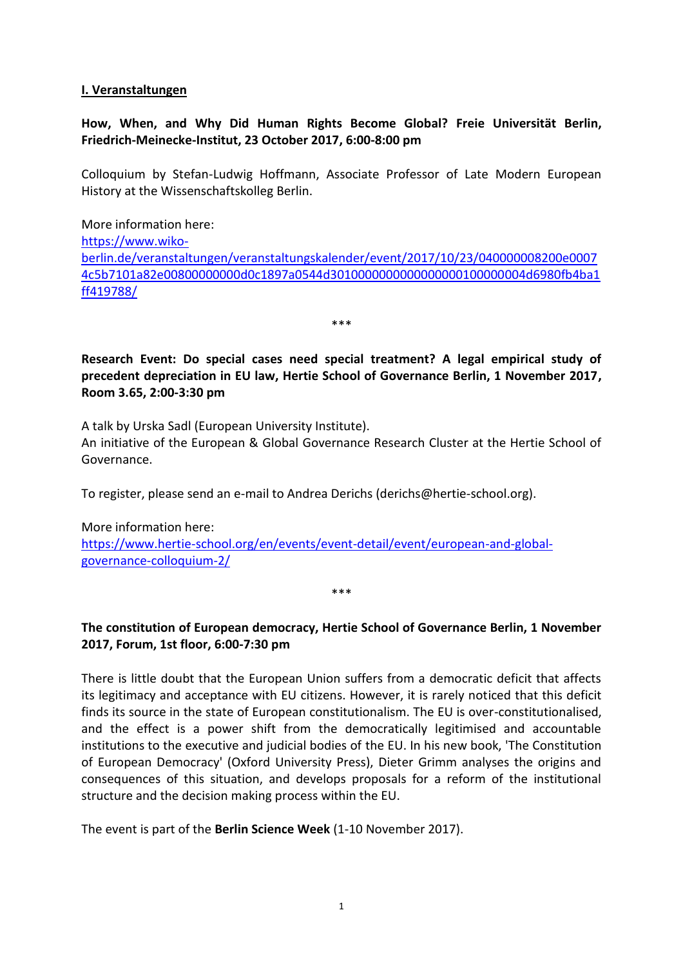#### <span id="page-2-0"></span>**I. Veranstaltungen**

#### <span id="page-2-1"></span>**How, When, and Why Did Human Rights Become Global? Freie Universität Berlin, Friedrich-Meinecke-Institut, 23 October 2017, 6:00-8:00 pm**

Colloquium by Stefan-Ludwig Hoffmann, Associate Professor of Late Modern European History at the Wissenschaftskolleg Berlin.

More information here: [https://www.wiko](https://www.wiko-berlin.de/veranstaltungen/veranstaltungskalender/event/2017/10/23/040000008200e00074c5b7101a82e00800000000d0c1897a0544d3010000000000000000100000004d6980fb4ba1ff419788/)[berlin.de/veranstaltungen/veranstaltungskalender/event/2017/10/23/040000008200e0007](https://www.wiko-berlin.de/veranstaltungen/veranstaltungskalender/event/2017/10/23/040000008200e00074c5b7101a82e00800000000d0c1897a0544d3010000000000000000100000004d6980fb4ba1ff419788/) [4c5b7101a82e00800000000d0c1897a0544d3010000000000000000100000004d6980fb4ba1](https://www.wiko-berlin.de/veranstaltungen/veranstaltungskalender/event/2017/10/23/040000008200e00074c5b7101a82e00800000000d0c1897a0544d3010000000000000000100000004d6980fb4ba1ff419788/) [ff419788/](https://www.wiko-berlin.de/veranstaltungen/veranstaltungskalender/event/2017/10/23/040000008200e00074c5b7101a82e00800000000d0c1897a0544d3010000000000000000100000004d6980fb4ba1ff419788/)

\*\*\*

<span id="page-2-2"></span>**Research Event: Do special cases need special treatment? A legal empirical study of precedent depreciation in EU law, Hertie School of Governance Berlin, 1 November 2017, Room 3.65, 2:00-3:30 pm**

A talk by Urska Sadl (European University Institute).

An initiative of the European & Global Governance Research Cluster at the Hertie School of Governance.

To register, please send an e-mail to Andrea Derichs (derichs@hertie-school.org).

More information here: [https://www.hertie-school.org/en/events/event-detail/event/european-and-global](https://www.hertie-school.org/en/events/event-detail/event/european-and-global-governance-colloquium-2/)[governance-colloquium-2/](https://www.hertie-school.org/en/events/event-detail/event/european-and-global-governance-colloquium-2/)

<span id="page-2-3"></span>**The constitution of European democracy, Hertie School of Governance Berlin, 1 November 2017, Forum, 1st floor, 6:00-7:30 pm**

\*\*\*

There is little doubt that the European Union suffers from a democratic deficit that affects its legitimacy and acceptance with EU citizens. However, it is rarely noticed that this deficit finds its source in the state of European constitutionalism. The EU is over-constitutionalised, and the effect is a power shift from the democratically legitimised and accountable institutions to the executive and judicial bodies of the EU. In his new book, 'The Constitution of European Democracy' (Oxford University Press), Dieter Grimm analyses the origins and consequences of this situation, and develops proposals for a reform of the institutional structure and the decision making process within the EU.

The event is part of the **Berlin Science Week** (1-10 November 2017).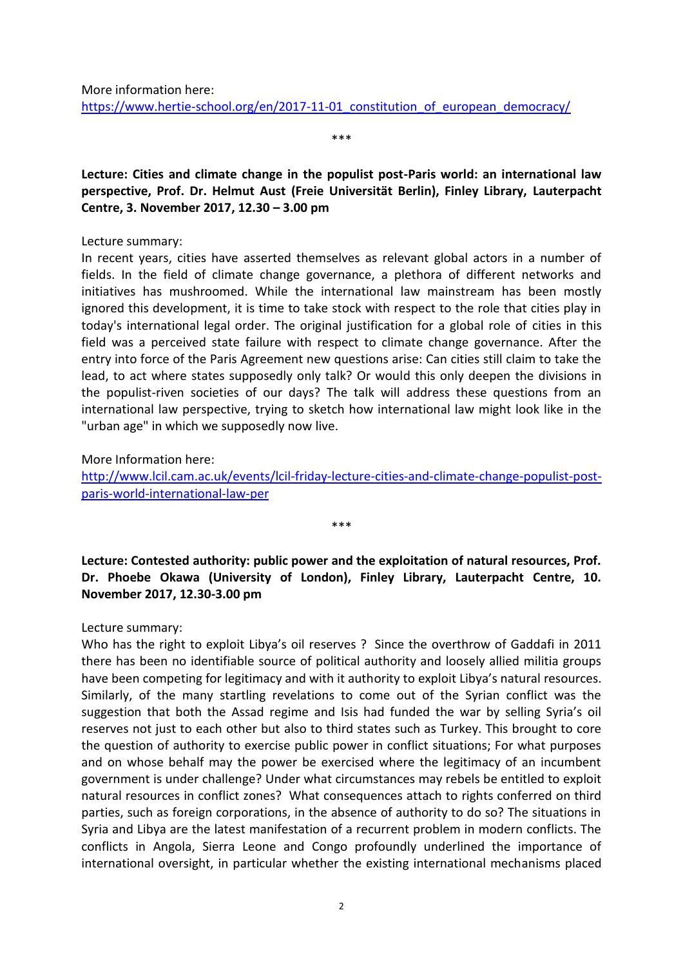More information here:

https://www.hertie-school.org/en/2017-11-01 constitution of european democracy/

\*\*\*

<span id="page-3-0"></span>**Lecture: Cities and climate change in the populist post-Paris world: an international law perspective, Prof. Dr. Helmut Aust (Freie Universität Berlin), Finley Library, Lauterpacht Centre, 3. November 2017, 12.30 – 3.00 pm**

#### Lecture summary:

In recent years, cities have asserted themselves as relevant global actors in a number of fields. In the field of climate change governance, a plethora of different networks and initiatives has mushroomed. While the international law mainstream has been mostly ignored this development, it is time to take stock with respect to the role that cities play in today's international legal order. The original justification for a global role of cities in this field was a perceived state failure with respect to climate change governance. After the entry into force of the Paris Agreement new questions arise: Can cities still claim to take the lead, to act where states supposedly only talk? Or would this only deepen the divisions in the populist-riven societies of our days? The talk will address these questions from an international law perspective, trying to sketch how international law might look like in the "urban age" in which we supposedly now live.

More Information here:

[http://www.lcil.cam.ac.uk/events/lcil-friday-lecture-cities-and-climate-change-populist-post](http://www.lcil.cam.ac.uk/events/lcil-friday-lecture-cities-and-climate-change-populist-post-paris-world-international-law-per)[paris-world-international-law-per](http://www.lcil.cam.ac.uk/events/lcil-friday-lecture-cities-and-climate-change-populist-post-paris-world-international-law-per)

\*\*\*

<span id="page-3-1"></span>**Lecture: Contested authority: public power and the exploitation of natural resources, Prof. Dr. Phoebe Okawa (University of London), Finley Library, Lauterpacht Centre, 10. November 2017, 12.30-3.00 pm**

#### Lecture summary:

Who has the right to exploit Libya's oil reserves ? Since the overthrow of Gaddafi in 2011 there has been no identifiable source of political authority and loosely allied militia groups have been competing for legitimacy and with it authority to exploit Libya's natural resources. Similarly, of the many startling revelations to come out of the Syrian conflict was the suggestion that both the Assad regime and Isis had funded the war by selling Syria's oil reserves not just to each other but also to third states such as Turkey. This brought to core the question of authority to exercise public power in conflict situations; For what purposes and on whose behalf may the power be exercised where the legitimacy of an incumbent government is under challenge? Under what circumstances may rebels be entitled to exploit natural resources in conflict zones? What consequences attach to rights conferred on third parties, such as foreign corporations, in the absence of authority to do so? The situations in Syria and Libya are the latest manifestation of a recurrent problem in modern conflicts. The conflicts in Angola, Sierra Leone and Congo profoundly underlined the importance of international oversight, in particular whether the existing international mechanisms placed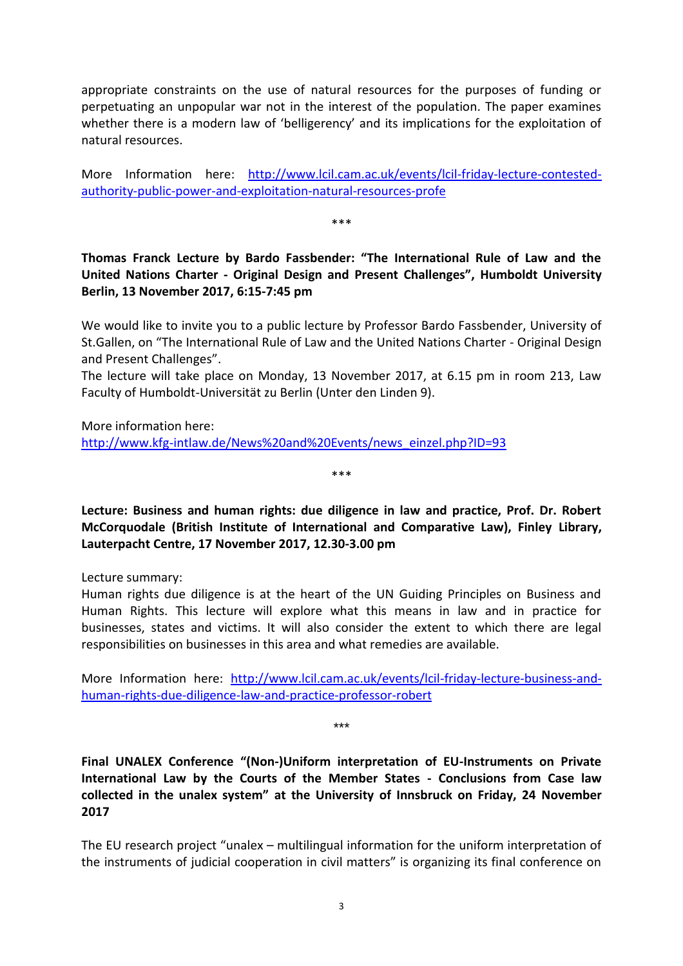appropriate constraints on the use of natural resources for the purposes of funding or perpetuating an unpopular war not in the interest of the population. The paper examines whether there is a modern law of 'belligerency' and its implications for the exploitation of natural resources.

More Information here: [http://www.lcil.cam.ac.uk/events/lcil-friday-lecture-contested](http://www.lcil.cam.ac.uk/events/lcil-friday-lecture-contested-authority-public-power-and-exploitation-natural-resources-profe)[authority-public-power-and-exploitation-natural-resources-profe](http://www.lcil.cam.ac.uk/events/lcil-friday-lecture-contested-authority-public-power-and-exploitation-natural-resources-profe)

\*\*\*

<span id="page-4-0"></span>**Thomas Franck Lecture by Bardo Fassbender: "The International Rule of Law and the United Nations Charter - Original Design and Present Challenges", Humboldt University Berlin, 13 November 2017, 6:15-7:45 pm**

We would like to invite you to a public lecture by Professor Bardo Fassbender, University of St.Gallen, on "The International Rule of Law and the United Nations Charter - Original Design and Present Challenges".

The lecture will take place on Monday, 13 November 2017, at 6.15 pm in room 213, Law Faculty of Humboldt-Universität zu Berlin (Unter den Linden 9).

More information here: [http://www.kfg-intlaw.de/News%20and%20Events/news\\_einzel.php?ID=93](http://www.kfg-intlaw.de/News%20and%20Events/news_einzel.php?ID=93)

<span id="page-4-1"></span>**Lecture: Business and human rights: due diligence in law and practice, Prof. Dr. Robert McCorquodale (British Institute of International and Comparative Law), Finley Library, Lauterpacht Centre, 17 November 2017, 12.30-3.00 pm**

\*\*\*

Lecture summary:

Human rights due diligence is at the heart of the UN Guiding Principles on Business and Human Rights. This lecture will explore what this means in law and in practice for businesses, states and victims. It will also consider the extent to which there are legal responsibilities on businesses in this area and what remedies are available.

More Information here: [http://www.lcil.cam.ac.uk/events/lcil-friday-lecture-business-and](http://www.lcil.cam.ac.uk/events/lcil-friday-lecture-business-and-human-rights-due-diligence-law-and-practice-professor-robert)[human-rights-due-diligence-law-and-practice-professor-robert](http://www.lcil.cam.ac.uk/events/lcil-friday-lecture-business-and-human-rights-due-diligence-law-and-practice-professor-robert)

\*\*\*

<span id="page-4-2"></span>**Final UNALEX Conference "(Non-)Uniform interpretation of EU-Instruments on Private International Law by the Courts of the Member States - Conclusions from Case law collected in the unalex system" at the University of Innsbruck on Friday, 24 November 2017**

The EU research project "unalex – multilingual information for the uniform interpretation of the instruments of judicial cooperation in civil matters" is organizing its final conference on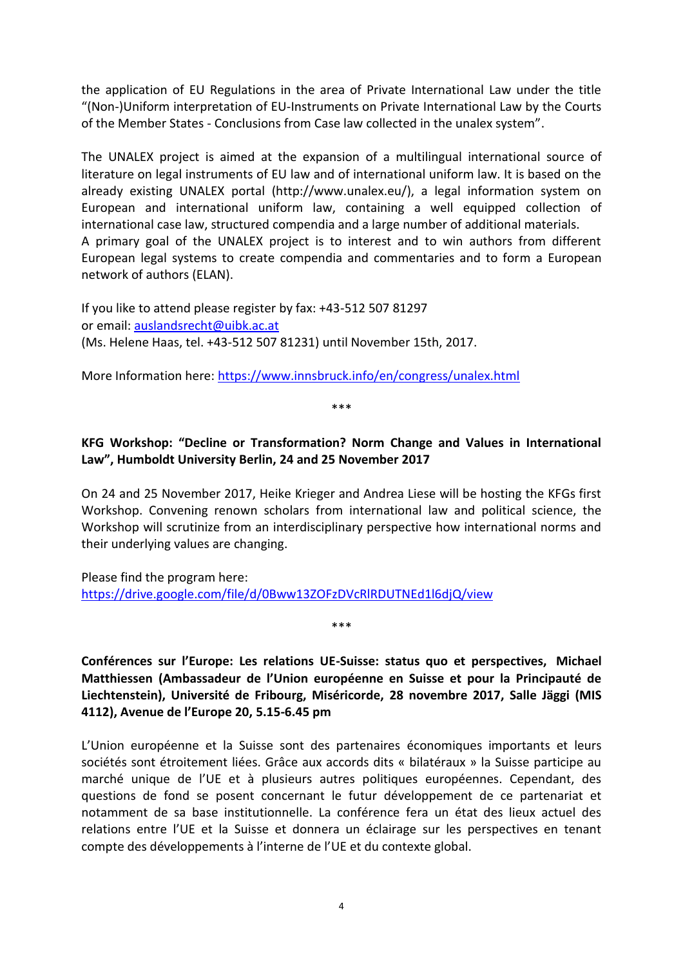the application of EU Regulations in the area of Private International Law under the title "(Non-)Uniform interpretation of EU-Instruments on Private International Law by the Courts of the Member States - Conclusions from Case law collected in the unalex system".

The UNALEX project is aimed at the expansion of a multilingual international source of literature on legal instruments of EU law and of international uniform law. It is based on the already existing UNALEX portal (http://www.unalex.eu/), a legal information system on European and international uniform law, containing a well equipped collection of international case law, structured compendia and a large number of additional materials. A primary goal of the UNALEX project is to interest and to win authors from different European legal systems to create compendia and commentaries and to form a European network of authors (ELAN).

If you like to attend please register by fax: +43-512 507 81297 or email: [auslandsrecht@uibk.ac.at](mailto:auslandsrecht@uibk.ac.at)  (Ms. Helene Haas, tel. +43-512 507 81231) until November 15th, 2017.

More Information here:<https://www.innsbruck.info/en/congress/unalex.html>

\*\*\*

# <span id="page-5-0"></span>**KFG Workshop: "Decline or Transformation? Norm Change and Values in International Law", Humboldt University Berlin, 24 and 25 November 2017**

On 24 and 25 November 2017, Heike Krieger and Andrea Liese will be hosting the KFGs first Workshop. Convening renown scholars from international law and political science, the Workshop will scrutinize from an interdisciplinary perspective how international norms and their underlying values are changing.

Please find the program here: <https://drive.google.com/file/d/0Bww13ZOFzDVcRlRDUTNEd1l6djQ/view>

<span id="page-5-1"></span>**Conférences sur l'Europe: Les relations UE-Suisse: status quo et perspectives, Michael Matthiessen (Ambassadeur de l'Union européenne en Suisse et pour la Principauté de Liechtenstein), Université de Fribourg, Miséricorde, 28 novembre 2017, Salle Jäggi (MIS 4112), Avenue de l'Europe 20, 5.15-6.45 pm**

\*\*\*

L'Union européenne et la Suisse sont des partenaires économiques importants et leurs sociétés sont étroitement liées. Grâce aux accords dits « bilatéraux » la Suisse participe au marché unique de l'UE et à plusieurs autres politiques européennes. Cependant, des questions de fond se posent concernant le futur développement de ce partenariat et notamment de sa base institutionnelle. La conférence fera un état des lieux actuel des relations entre l'UE et la Suisse et donnera un éclairage sur les perspectives en tenant compte des développements à l'interne de l'UE et du contexte global.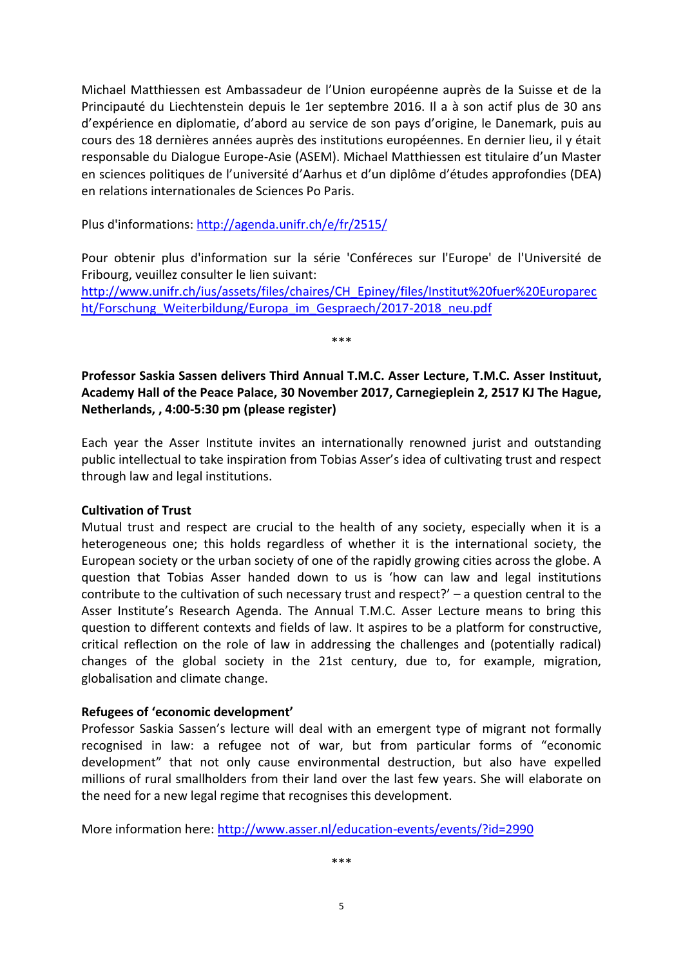Michael Matthiessen est Ambassadeur de l'Union européenne auprès de la Suisse et de la Principauté du Liechtenstein depuis le 1er septembre 2016. Il a à son actif plus de 30 ans d'expérience en diplomatie, d'abord au service de son pays d'origine, le Danemark, puis au cours des 18 dernières années auprès des institutions européennes. En dernier lieu, il y était responsable du Dialogue Europe-Asie (ASEM). Michael Matthiessen est titulaire d'un Master en sciences politiques de l'université d'Aarhus et d'un diplôme d'études approfondies (DEA) en relations internationales de Sciences Po Paris.

Plus d'informations:<http://agenda.unifr.ch/e/fr/2515/>

Pour obtenir plus d'information sur la série 'Conféreces sur l'Europe' de l'Université de Fribourg, veuillez consulter le lien suivant:

[http://www.unifr.ch/ius/assets/files/chaires/CH\\_Epiney/files/Institut%20fuer%20Europarec](http://www.unifr.ch/ius/assets/files/chaires/CH_Epiney/files/Institut%20fuer%20Europarecht/Forschung_Weiterbildung/Europa_im_Gespraech/2017-2018_neu.pdf) ht/Forschung Weiterbildung/Europa\_im\_Gespraech/2017-2018\_neu.pdf

\*\*\*

<span id="page-6-0"></span>**Professor Saskia Sassen delivers Third Annual T.M.C. Asser Lecture, T.M.C. Asser Instituut, Academy Hall of the Peace Palace, 30 November 2017, Carnegieplein 2, 2517 KJ The Hague, Netherlands, , 4:00-5:30 pm (please register)**

Each year the Asser Institute invites an internationally renowned jurist and outstanding public intellectual to take inspiration from Tobias Asser's idea of cultivating trust and respect through law and legal institutions.

#### **Cultivation of Trust**

Mutual trust and respect are crucial to the health of any society, especially when it is a heterogeneous one; this holds regardless of whether it is the international society, the European society or the urban society of one of the rapidly growing cities across the globe. A question that Tobias Asser handed down to us is 'how can law and legal institutions contribute to the cultivation of such necessary trust and respect?' – a question central to the Asser Institute's Research Agenda. The Annual T.M.C. Asser Lecture means to bring this question to different contexts and fields of law. It aspires to be a platform for constructive, critical reflection on the role of law in addressing the challenges and (potentially radical) changes of the global society in the 21st century, due to, for example, migration, globalisation and climate change.

#### **Refugees of 'economic development'**

Professor Saskia Sassen's lecture will deal with an emergent type of migrant not formally recognised in law: a refugee not of war, but from particular forms of "economic development" that not only cause environmental destruction, but also have expelled millions of rural smallholders from their land over the last few years. She will elaborate on the need for a new legal regime that recognises this development.

More information here:<http://www.asser.nl/education-events/events/?id=2990>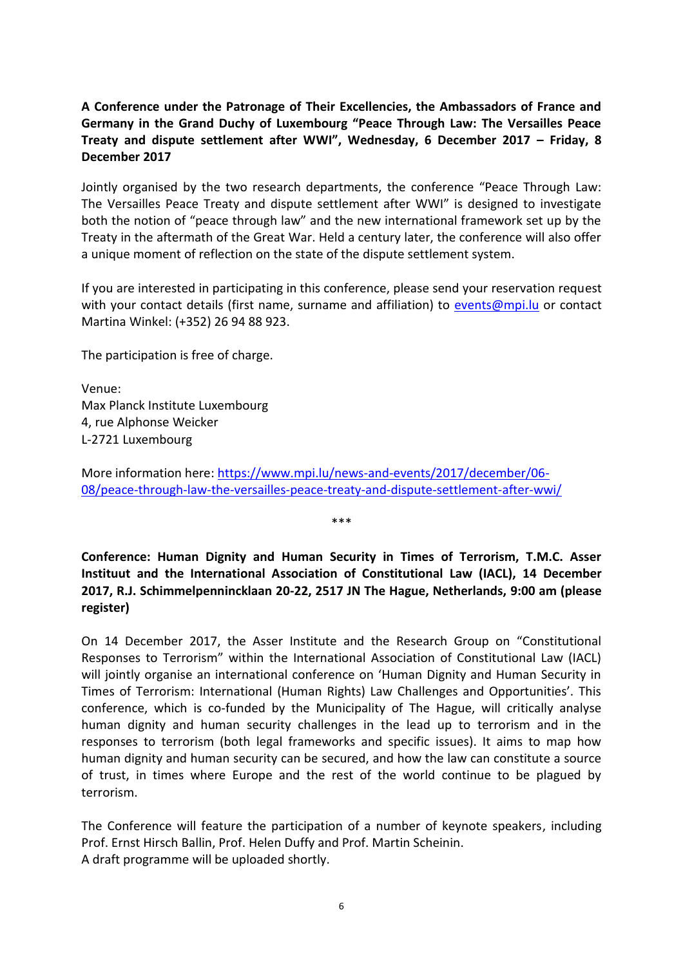# <span id="page-7-0"></span>**A Conference under the Patronage of Their Excellencies, the Ambassadors of France and Germany in the Grand Duchy of Luxembourg "Peace Through Law: The Versailles Peace Treaty and dispute settlement after WWI", Wednesday, 6 December 2017 – Friday, 8 December 2017**

Jointly organised by the two research departments, the conference "Peace Through Law: The Versailles Peace Treaty and dispute settlement after WWI" is designed to investigate both the notion of "peace through law" and the new international framework set up by the Treaty in the aftermath of the Great War. Held a century later, the conference will also offer a unique moment of reflection on the state of the dispute settlement system.

If you are interested in participating in this conference, please send your reservation request with your contact details (first name, surname and affiliation) to [events@mpi.lu](mailto:events@mpi.lu) or contact Martina Winkel: (+352) 26 94 88 923.

The participation is free of charge.

Venue: Max Planck Institute Luxembourg 4, rue Alphonse Weicker L-2721 Luxembourg

More information here: [https://www.mpi.lu/news-and-events/2017/december/06-](https://www.mpi.lu/news-and-events/2017/december/06-08/peace-through-law-the-versailles-peace-treaty-and-dispute-settlement-after-wwi/) [08/peace-through-law-the-versailles-peace-treaty-and-dispute-settlement-after-wwi/](https://www.mpi.lu/news-and-events/2017/december/06-08/peace-through-law-the-versailles-peace-treaty-and-dispute-settlement-after-wwi/)

\*\*\*

<span id="page-7-1"></span>**Conference: Human Dignity and Human Security in Times of Terrorism, T.M.C. Asser Instituut and the International Association of Constitutional Law (IACL), 14 December 2017, R.J. Schimmelpennincklaan 20-22, 2517 JN The Hague, Netherlands, 9:00 am (please register)**

On 14 December 2017, the Asser Institute and the Research Group on "Constitutional Responses to Terrorism" within the International Association of Constitutional Law (IACL) will jointly organise an international conference on 'Human Dignity and Human Security in Times of Terrorism: International (Human Rights) Law Challenges and Opportunities'. This conference, which is co-funded by the Municipality of The Hague, will critically analyse human dignity and human security challenges in the lead up to terrorism and in the responses to terrorism (both legal frameworks and specific issues). It aims to map how human dignity and human security can be secured, and how the law can constitute a source of trust, in times where Europe and the rest of the world continue to be plagued by terrorism.

The Conference will feature the participation of a number of keynote speakers, including Prof. Ernst Hirsch Ballin, Prof. Helen Duffy and Prof. Martin Scheinin. A draft programme will be uploaded shortly.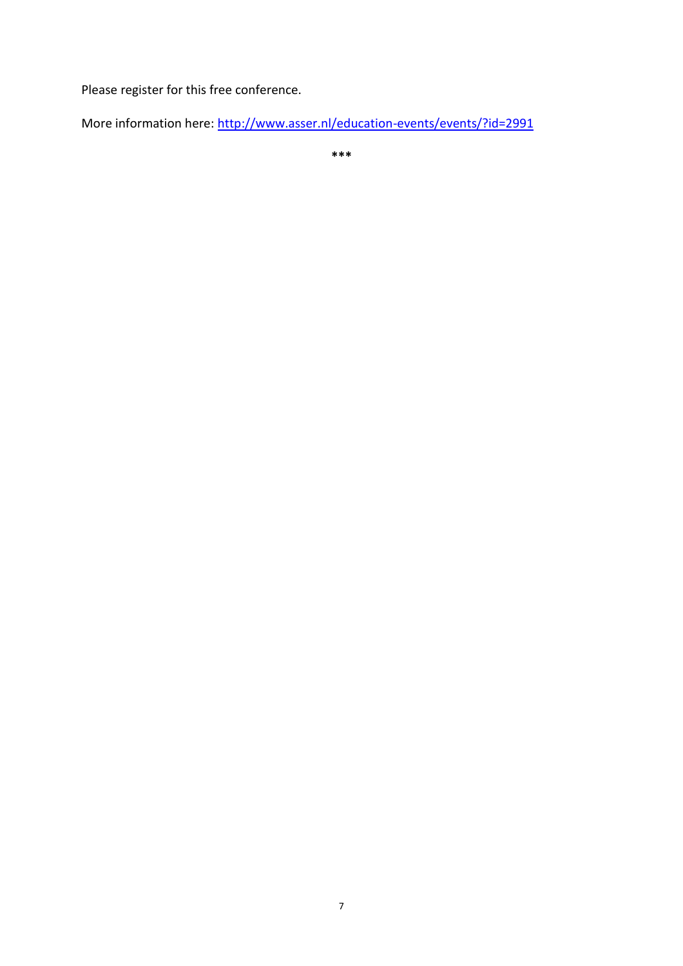Please register for this free conference.

More information here:<http://www.asser.nl/education-events/events/?id=2991>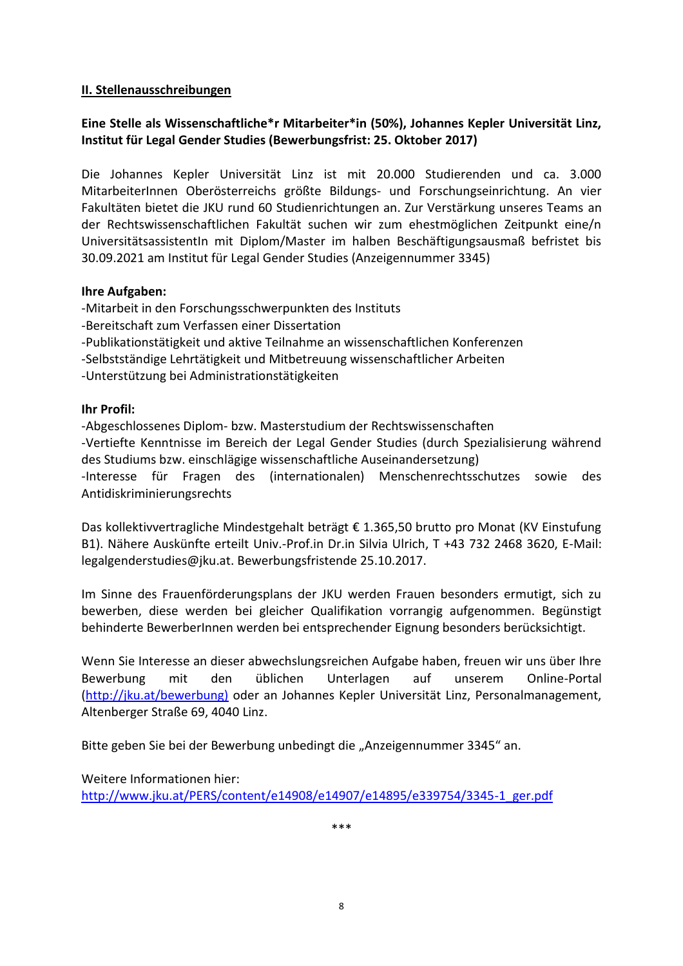#### <span id="page-9-0"></span>**II. Stellenausschreibungen**

# <span id="page-9-1"></span>**Eine Stelle als Wissenschaftliche\*r Mitarbeiter\*in (50%), Johannes Kepler Universität Linz, Institut für Legal Gender Studies (Bewerbungsfrist: 25. Oktober 2017)**

Die Johannes Kepler Universität Linz ist mit 20.000 Studierenden und ca. 3.000 MitarbeiterInnen Oberösterreichs größte Bildungs- und Forschungseinrichtung. An vier Fakultäten bietet die JKU rund 60 Studienrichtungen an. Zur Verstärkung unseres Teams an der Rechtswissenschaftlichen Fakultät suchen wir zum ehestmöglichen Zeitpunkt eine/n UniversitätsassistentIn mit Diplom/Master im halben Beschäftigungsausmaß befristet bis 30.09.2021 am Institut für Legal Gender Studies (Anzeigennummer 3345)

#### **Ihre Aufgaben:**

-Mitarbeit in den Forschungsschwerpunkten des Instituts -Bereitschaft zum Verfassen einer Dissertation -Publikationstätigkeit und aktive Teilnahme an wissenschaftlichen Konferenzen -Selbstständige Lehrtätigkeit und Mitbetreuung wissenschaftlicher Arbeiten -Unterstützung bei Administrationstätigkeiten

#### **Ihr Profil:**

-Abgeschlossenes Diplom- bzw. Masterstudium der Rechtswissenschaften -Vertiefte Kenntnisse im Bereich der Legal Gender Studies (durch Spezialisierung während des Studiums bzw. einschlägige wissenschaftliche Auseinandersetzung) -Interesse für Fragen des (internationalen) Menschenrechtsschutzes sowie des Antidiskriminierungsrechts

Das kollektivvertragliche Mindestgehalt beträgt € 1.365,50 brutto pro Monat (KV Einstufung B1). Nähere Auskünfte erteilt Univ.-Prof.in Dr.in Silvia Ulrich, T +43 732 2468 3620, E-Mail: legalgenderstudies@jku.at. Bewerbungsfristende 25.10.2017.

Im Sinne des Frauenförderungsplans der JKU werden Frauen besonders ermutigt, sich zu bewerben, diese werden bei gleicher Qualifikation vorrangig aufgenommen. Begünstigt behinderte BewerberInnen werden bei entsprechender Eignung besonders berücksichtigt.

Wenn Sie Interesse an dieser abwechslungsreichen Aufgabe haben, freuen wir uns über Ihre Bewerbung mit den üblichen Unterlagen auf unserem Online-Portal [\(http://jku.at/bewerbung\)](http://jku.at/bewerbung)) oder an Johannes Kepler Universität Linz, Personalmanagement, Altenberger Straße 69, 4040 Linz.

Bitte geben Sie bei der Bewerbung unbedingt die "Anzeigennummer 3345" an.

Weitere Informationen hier:

[http://www.jku.at/PERS/content/e14908/e14907/e14895/e339754/3345-1\\_ger.pdf](http://www.jku.at/PERS/content/e14908/e14907/e14895/e339754/3345-1_ger.pdf)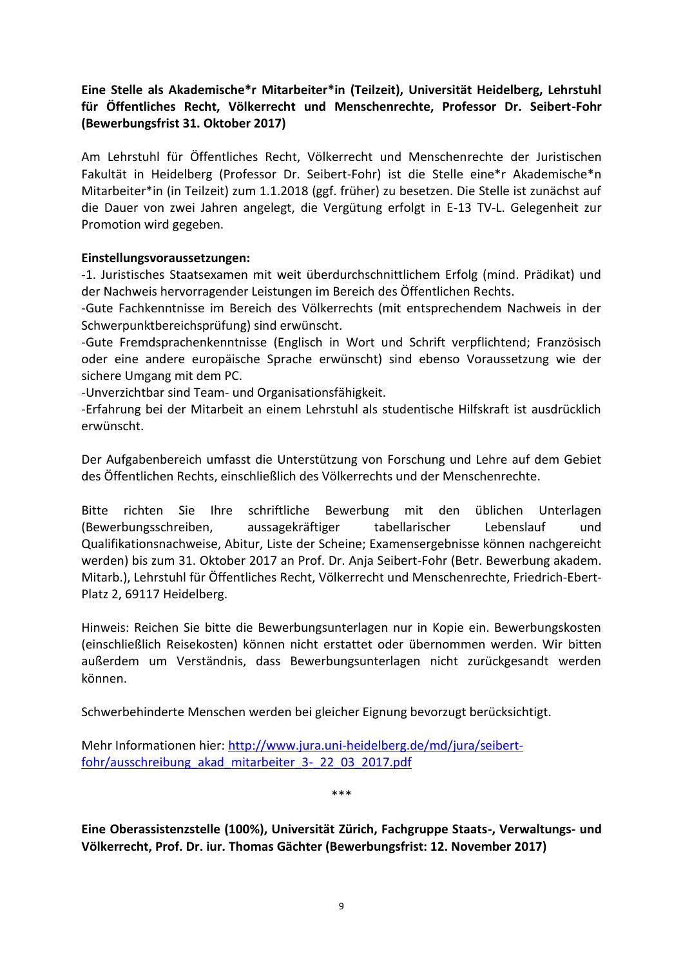# <span id="page-10-0"></span>**Eine Stelle als Akademische\*r Mitarbeiter\*in (Teilzeit), Universität Heidelberg, Lehrstuhl für Öffentliches Recht, Völkerrecht und Menschenrechte, Professor Dr. Seibert-Fohr (Bewerbungsfrist 31. Oktober 2017)**

Am Lehrstuhl für Öffentliches Recht, Völkerrecht und Menschenrechte der Juristischen Fakultät in Heidelberg (Professor Dr. Seibert-Fohr) ist die Stelle eine\*r Akademische\*n Mitarbeiter\*in (in Teilzeit) zum 1.1.2018 (ggf. früher) zu besetzen. Die Stelle ist zunächst auf die Dauer von zwei Jahren angelegt, die Vergütung erfolgt in E-13 TV-L. Gelegenheit zur Promotion wird gegeben.

#### **Einstellungsvoraussetzungen:**

-1. Juristisches Staatsexamen mit weit überdurchschnittlichem Erfolg (mind. Prädikat) und der Nachweis hervorragender Leistungen im Bereich des Öffentlichen Rechts.

-Gute Fachkenntnisse im Bereich des Völkerrechts (mit entsprechendem Nachweis in der Schwerpunktbereichsprüfung) sind erwünscht.

-Gute Fremdsprachenkenntnisse (Englisch in Wort und Schrift verpflichtend; Französisch oder eine andere europäische Sprache erwünscht) sind ebenso Voraussetzung wie der sichere Umgang mit dem PC.

-Unverzichtbar sind Team- und Organisationsfähigkeit.

-Erfahrung bei der Mitarbeit an einem Lehrstuhl als studentische Hilfskraft ist ausdrücklich erwünscht.

Der Aufgabenbereich umfasst die Unterstützung von Forschung und Lehre auf dem Gebiet des Öffentlichen Rechts, einschließlich des Völkerrechts und der Menschenrechte.

Bitte richten Sie Ihre schriftliche Bewerbung mit den üblichen Unterlagen (Bewerbungsschreiben, aussagekräftiger tabellarischer Lebenslauf und Qualifikationsnachweise, Abitur, Liste der Scheine; Examensergebnisse können nachgereicht werden) bis zum 31. Oktober 2017 an Prof. Dr. Anja Seibert-Fohr (Betr. Bewerbung akadem. Mitarb.), Lehrstuhl für Öffentliches Recht, Völkerrecht und Menschenrechte, Friedrich-Ebert-Platz 2, 69117 Heidelberg.

Hinweis: Reichen Sie bitte die Bewerbungsunterlagen nur in Kopie ein. Bewerbungskosten (einschließlich Reisekosten) können nicht erstattet oder übernommen werden. Wir bitten außerdem um Verständnis, dass Bewerbungsunterlagen nicht zurückgesandt werden können.

Schwerbehinderte Menschen werden bei gleicher Eignung bevorzugt berücksichtigt.

Mehr Informationen hier: [http://www.jura.uni-heidelberg.de/md/jura/seibert](http://www.jura.uni-heidelberg.de/md/jura/seibert-fohr/ausschreibung_akad_mitarbeiter_3-_22_03_2017.pdf)[fohr/ausschreibung\\_akad\\_mitarbeiter\\_3-\\_22\\_03\\_2017.pdf](http://www.jura.uni-heidelberg.de/md/jura/seibert-fohr/ausschreibung_akad_mitarbeiter_3-_22_03_2017.pdf)

\*\*\*

<span id="page-10-1"></span>**Eine Oberassistenzstelle (100%), Universität Zürich, Fachgruppe Staats-, Verwaltungs- und Völkerrecht, Prof. Dr. iur. Thomas Gächter (Bewerbungsfrist: 12. November 2017)**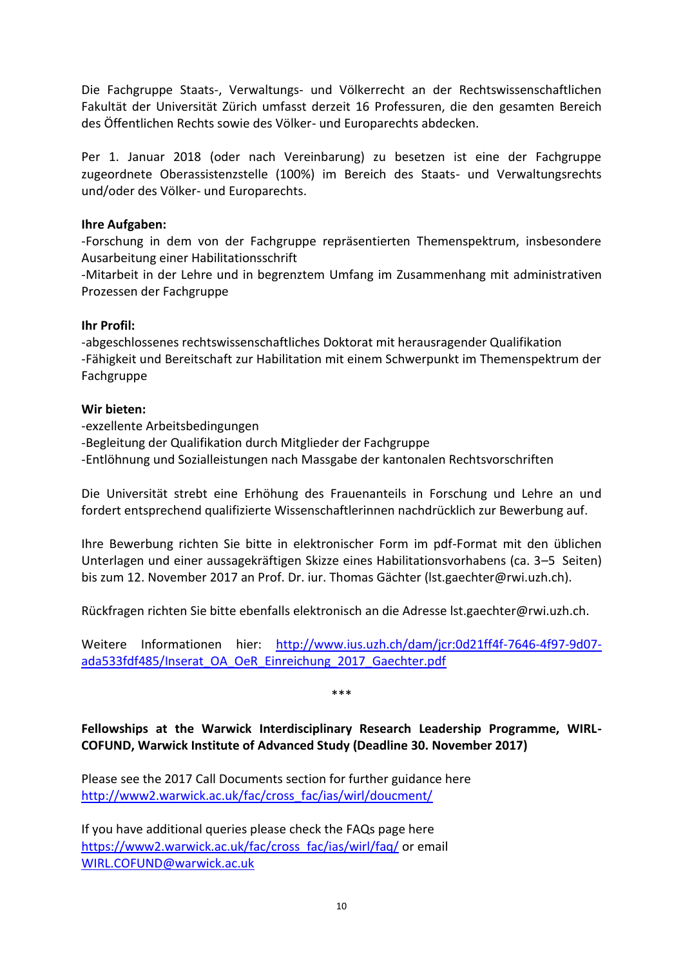Die Fachgruppe Staats-, Verwaltungs- und Völkerrecht an der Rechtswissenschaftlichen Fakultät der Universität Zürich umfasst derzeit 16 Professuren, die den gesamten Bereich des Öffentlichen Rechts sowie des Völker- und Europarechts abdecken.

Per 1. Januar 2018 (oder nach Vereinbarung) zu besetzen ist eine der Fachgruppe zugeordnete Oberassistenzstelle (100%) im Bereich des Staats- und Verwaltungsrechts und/oder des Völker- und Europarechts.

#### **Ihre Aufgaben:**

-Forschung in dem von der Fachgruppe repräsentierten Themenspektrum, insbesondere Ausarbeitung einer Habilitationsschrift

-Mitarbeit in der Lehre und in begrenztem Umfang im Zusammenhang mit administrativen Prozessen der Fachgruppe

#### **Ihr Profil:**

-abgeschlossenes rechtswissenschaftliches Doktorat mit herausragender Qualifikation -Fähigkeit und Bereitschaft zur Habilitation mit einem Schwerpunkt im Themenspektrum der Fachgruppe

#### **Wir bieten:**

-exzellente Arbeitsbedingungen -Begleitung der Qualifikation durch Mitglieder der Fachgruppe -Entlöhnung und Sozialleistungen nach Massgabe der kantonalen Rechtsvorschriften

Die Universität strebt eine Erhöhung des Frauenanteils in Forschung und Lehre an und fordert entsprechend qualifizierte Wissenschaftlerinnen nachdrücklich zur Bewerbung auf.

Ihre Bewerbung richten Sie bitte in elektronischer Form im pdf-Format mit den üblichen Unterlagen und einer aussagekräftigen Skizze eines Habilitationsvorhabens (ca. 3–5 Seiten) bis zum 12. November 2017 an Prof. Dr. iur. Thomas Gächter (lst.gaechter@rwi.uzh.ch).

Rückfragen richten Sie bitte ebenfalls elektronisch an die Adresse lst.gaechter@rwi.uzh.ch.

Weitere Informationen hier: [http://www.ius.uzh.ch/dam/jcr:0d21ff4f-7646-4f97-9d07](http://www.ius.uzh.ch/dam/jcr:0d21ff4f-7646-4f97-9d07-ada533fdf485/Inserat_OA_OeR_Einreichung_2017_Gaechter.pdf) [ada533fdf485/Inserat\\_OA\\_OeR\\_Einreichung\\_2017\\_Gaechter.pdf](http://www.ius.uzh.ch/dam/jcr:0d21ff4f-7646-4f97-9d07-ada533fdf485/Inserat_OA_OeR_Einreichung_2017_Gaechter.pdf)

\*\*\*

<span id="page-11-0"></span>**Fellowships at the Warwick Interdisciplinary Research Leadership Programme, WIRL-COFUND, Warwick Institute of Advanced Study (Deadline 30. November 2017)**

Please see the 2017 Call Documents section for further guidance here [http://www2.warwick.ac.uk/fac/cross\\_fac/ias/wirl/doucment/](http://www2.warwick.ac.uk/fac/cross_fac/ias/wirl/doucment/) 

If you have additional queries please check the FAQs page here [https://www2.warwick.ac.uk/fac/cross\\_fac/ias/wirl/faq/](https://www2.warwick.ac.uk/fac/cross_fac/ias/wirl/faq/) or email [WIRL.COFUND@warwick.ac.uk](mailto:WIRL.COFUND@warwick.ac.uk)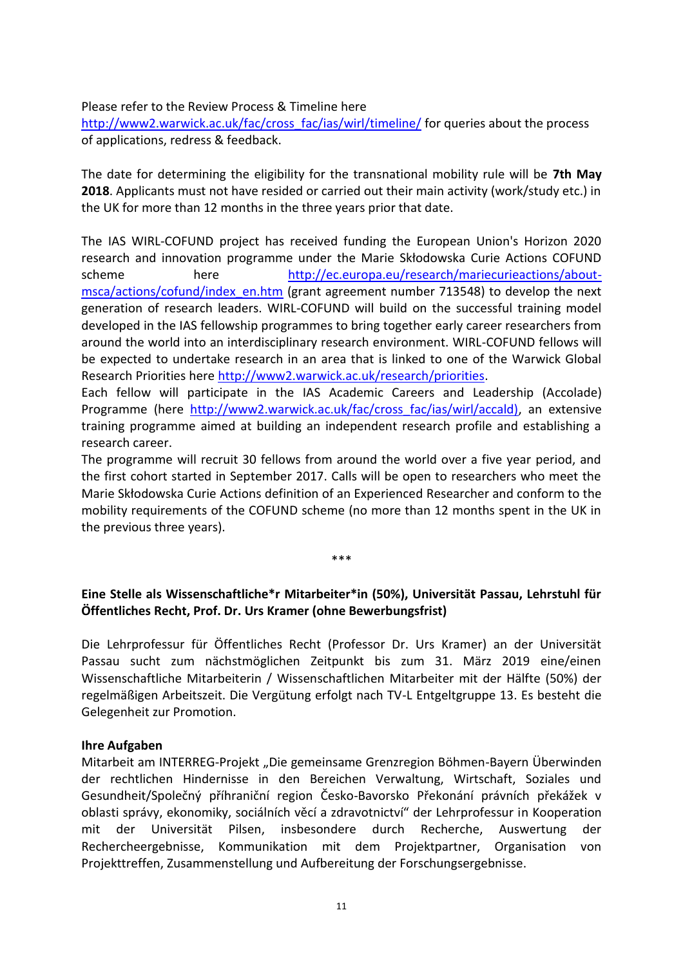#### Please refer to the Review Process & Timeline here

[http://www2.warwick.ac.uk/fac/cross\\_fac/ias/wirl/timeline/](http://www2.warwick.ac.uk/fac/cross_fac/ias/wirl/timeline/) for queries about the process of applications, redress & feedback.

The date for determining the eligibility for the transnational mobility rule will be **7th May 2018**. Applicants must not have resided or carried out their main activity (work/study etc.) in the UK for more than 12 months in the three years prior that date.

The IAS WIRL-COFUND project has received funding the European Union's Horizon 2020 research and innovation programme under the Marie Skłodowska Curie Actions COFUND scheme here [http://ec.europa.eu/research/mariecurieactions/about](http://ec.europa.eu/research/mariecurieactions/about-msca/actions/cofund/index_en.htm)[msca/actions/cofund/index\\_en.htm](http://ec.europa.eu/research/mariecurieactions/about-msca/actions/cofund/index_en.htm) (grant agreement number 713548) to develop the next generation of research leaders. WIRL-COFUND will build on the successful training model developed in the IAS fellowship programmes to bring together early career researchers from around the world into an interdisciplinary research environment. WIRL-COFUND fellows will be expected to undertake research in an area that is linked to one of the Warwick Global Research Priorities here [http://www2.warwick.ac.uk/research/priorities.](http://www2.warwick.ac.uk/research/priorities)

Each fellow will participate in the IAS Academic Careers and Leadership (Accolade) Programme (here [http://www2.warwick.ac.uk/fac/cross\\_fac/ias/wirl/accald\),](http://www2.warwick.ac.uk/fac/cross_fac/ias/wirl/accald)) an extensive training programme aimed at building an independent research profile and establishing a research career.

The programme will recruit 30 fellows from around the world over a five year period, and the first cohort started in September 2017. Calls will be open to researchers who meet the Marie Skłodowska Curie Actions definition of an Experienced Researcher and conform to the mobility requirements of the COFUND scheme (no more than 12 months spent in the UK in the previous three years).

#### \*\*\*

#### <span id="page-12-0"></span>**Eine Stelle als Wissenschaftliche\*r Mitarbeiter\*in (50%), Universität Passau, Lehrstuhl für Öffentliches Recht, Prof. Dr. Urs Kramer (ohne Bewerbungsfrist)**

Die Lehrprofessur für Öffentliches Recht (Professor Dr. Urs Kramer) an der Universität Passau sucht zum nächstmöglichen Zeitpunkt bis zum 31. März 2019 eine/einen Wissenschaftliche Mitarbeiterin / Wissenschaftlichen Mitarbeiter mit der Hälfte (50%) der regelmäßigen Arbeitszeit. Die Vergütung erfolgt nach TV-L Entgeltgruppe 13. Es besteht die Gelegenheit zur Promotion.

#### **Ihre Aufgaben**

Mitarbeit am INTERREG-Projekt "Die gemeinsame Grenzregion Böhmen-Bayern Überwinden der rechtlichen Hindernisse in den Bereichen Verwaltung, Wirtschaft, Soziales und Gesundheit/Společný příhraniční region Česko-Bavorsko Překonání právních překážek v oblasti správy, ekonomiky, sociálních věcí a zdravotnictví" der Lehrprofessur in Kooperation mit der Universität Pilsen, insbesondere durch Recherche, Auswertung der Rechercheergebnisse, Kommunikation mit dem Projektpartner, Organisation von Projekttreffen, Zusammenstellung und Aufbereitung der Forschungsergebnisse.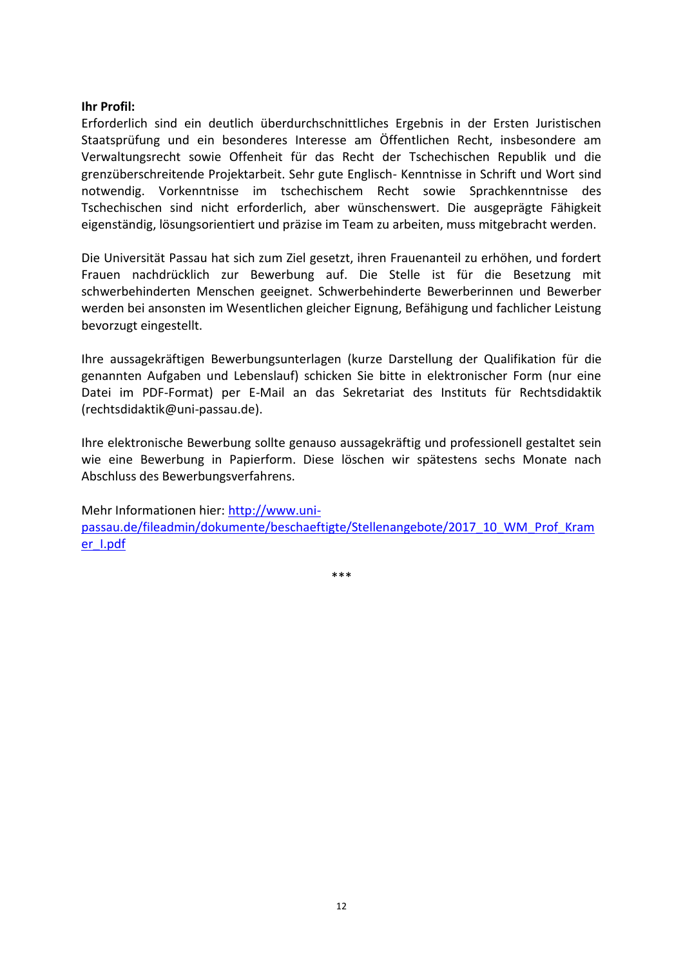#### **Ihr Profil:**

Erforderlich sind ein deutlich überdurchschnittliches Ergebnis in der Ersten Juristischen Staatsprüfung und ein besonderes Interesse am Öffentlichen Recht, insbesondere am Verwaltungsrecht sowie Offenheit für das Recht der Tschechischen Republik und die grenzüberschreitende Projektarbeit. Sehr gute Englisch- Kenntnisse in Schrift und Wort sind notwendig. Vorkenntnisse im tschechischem Recht sowie Sprachkenntnisse des Tschechischen sind nicht erforderlich, aber wünschenswert. Die ausgeprägte Fähigkeit eigenständig, lösungsorientiert und präzise im Team zu arbeiten, muss mitgebracht werden.

Die Universität Passau hat sich zum Ziel gesetzt, ihren Frauenanteil zu erhöhen, und fordert Frauen nachdrücklich zur Bewerbung auf. Die Stelle ist für die Besetzung mit schwerbehinderten Menschen geeignet. Schwerbehinderte Bewerberinnen und Bewerber werden bei ansonsten im Wesentlichen gleicher Eignung, Befähigung und fachlicher Leistung bevorzugt eingestellt.

Ihre aussagekräftigen Bewerbungsunterlagen (kurze Darstellung der Qualifikation für die genannten Aufgaben und Lebenslauf) schicken Sie bitte in elektronischer Form (nur eine Datei im PDF-Format) per E-Mail an das Sekretariat des Instituts für Rechtsdidaktik (rechtsdidaktik@uni-passau.de).

Ihre elektronische Bewerbung sollte genauso aussagekräftig und professionell gestaltet sein wie eine Bewerbung in Papierform. Diese löschen wir spätestens sechs Monate nach Abschluss des Bewerbungsverfahrens.

Mehr Informationen hier: [http://www.uni](http://www.uni-passau.de/fileadmin/dokumente/beschaeftigte/Stellenangebote/2017_10_WM_Prof_Kramer_I.pdf)[passau.de/fileadmin/dokumente/beschaeftigte/Stellenangebote/2017\\_10\\_WM\\_Prof\\_Kram](http://www.uni-passau.de/fileadmin/dokumente/beschaeftigte/Stellenangebote/2017_10_WM_Prof_Kramer_I.pdf) [er\\_I.pdf](http://www.uni-passau.de/fileadmin/dokumente/beschaeftigte/Stellenangebote/2017_10_WM_Prof_Kramer_I.pdf)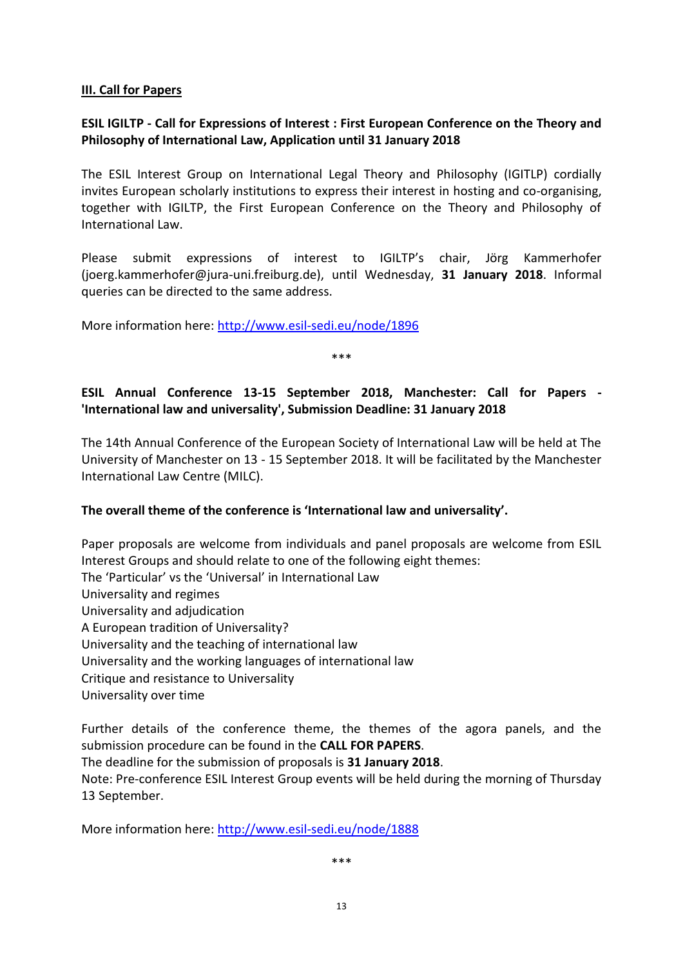#### <span id="page-14-0"></span>**III. Call for Papers**

#### <span id="page-14-1"></span>**ESIL IGILTP - Call for Expressions of Interest : First European Conference on the Theory and Philosophy of International Law, Application until 31 January 2018**

The ESIL Interest Group on International Legal Theory and Philosophy (IGITLP) cordially invites European scholarly institutions to express their interest in hosting and co-organising, together with IGILTP, the First European Conference on the Theory and Philosophy of International Law.

Please submit expressions of interest to IGILTP's chair, Jörg Kammerhofer (joerg.kammerhofer@jura-uni.freiburg.de), until Wednesday, **31 January 2018**. Informal queries can be directed to the same address.

More information here:<http://www.esil-sedi.eu/node/1896>

\*\*\*

# <span id="page-14-2"></span>**ESIL Annual Conference 13-15 September 2018, Manchester: Call for Papers - 'International law and universality', Submission Deadline: 31 January 2018**

The 14th Annual Conference of the European Society of International Law will be held at The University of Manchester on 13 - 15 September 2018. It will be facilitated by the Manchester International Law Centre (MILC).

#### **The overall theme of the conference is 'International law and universality'.**

Paper proposals are welcome from individuals and panel proposals are welcome from ESIL Interest Groups and should relate to one of the following eight themes: The 'Particular' vs the 'Universal' in International Law Universality and regimes Universality and adjudication A European tradition of Universality? Universality and the teaching of international law Universality and the working languages of international law Critique and resistance to Universality Universality over time

Further details of the conference theme, the themes of the agora panels, and the submission procedure can be found in the **CALL FOR PAPERS**. The deadline for the submission of proposals is **31 January 2018**. Note: Pre-conference ESIL Interest Group events will be held during the morning of Thursday 13 September.

More information here:<http://www.esil-sedi.eu/node/1888>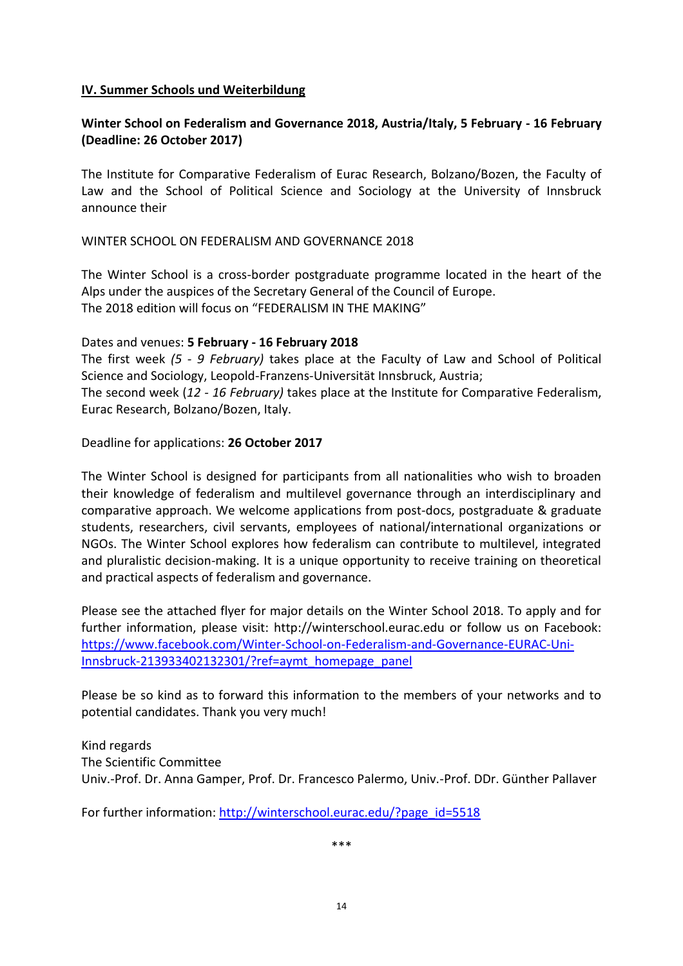#### <span id="page-15-0"></span>**IV. Summer Schools und Weiterbildung**

#### <span id="page-15-1"></span>**Winter School on Federalism and Governance 2018, Austria/Italy, 5 February - 16 February (Deadline: 26 October 2017)**

The Institute for Comparative Federalism of Eurac Research, Bolzano/Bozen, the Faculty of Law and the School of Political Science and Sociology at the University of Innsbruck announce their

WINTER SCHOOL ON FEDERALISM AND GOVERNANCE 2018

The Winter School is a cross-border postgraduate programme located in the heart of the Alps under the auspices of the Secretary General of the Council of Europe. The 2018 edition will focus on "FEDERALISM IN THE MAKING"

Dates and venues: **5 February - 16 February 2018**

The first week *(5 - 9 February)* takes place at the Faculty of Law and School of Political Science and Sociology, Leopold-Franzens-Universität Innsbruck, Austria; The second week (*12 - 16 February)* takes place at the Institute for Comparative Federalism, Eurac Research, Bolzano/Bozen, Italy.

Deadline for applications: **26 October 2017**

The Winter School is designed for participants from all nationalities who wish to broaden their knowledge of federalism and multilevel governance through an interdisciplinary and comparative approach. We welcome applications from post-docs, postgraduate & graduate students, researchers, civil servants, employees of national/international organizations or NGOs. The Winter School explores how federalism can contribute to multilevel, integrated and pluralistic decision-making. It is a unique opportunity to receive training on theoretical and practical aspects of federalism and governance.

Please see the attached flyer for major details on the Winter School 2018. To apply and for further information, please visit: http://winterschool.eurac.edu or follow us on Facebook: [https://www.facebook.com/Winter-School-on-Federalism-and-Governance-EURAC-Uni-](https://www.facebook.com/Winter-School-on-Federalism-and-Governance-EURAC-Uni-Innsbruck-213933402132301/?ref=aymt_homepage_panel)[Innsbruck-213933402132301/?ref=aymt\\_homepage\\_panel](https://www.facebook.com/Winter-School-on-Federalism-and-Governance-EURAC-Uni-Innsbruck-213933402132301/?ref=aymt_homepage_panel)

Please be so kind as to forward this information to the members of your networks and to potential candidates. Thank you very much!

Kind regards The Scientific Committee Univ.-Prof. Dr. Anna Gamper, Prof. Dr. Francesco Palermo, Univ.-Prof. DDr. Günther Pallaver

For further information: [http://winterschool.eurac.edu/?page\\_id=5518](http://winterschool.eurac.edu/?page_id=5518)